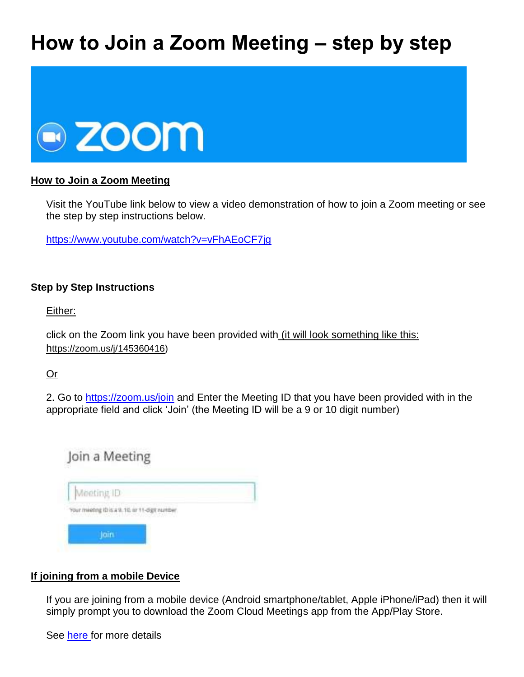# **How to Join a Zoom Meeting – step by step**



# **How to Join a Zoom Meeting**

Visit the YouTube link below to view a video demonstration of how to join a Zoom meeting or see the step by step instructions below.

<https://www.youtube.com/watch?v=vFhAEoCF7jg>

### **Step by Step Instructions**

Either:

click on the Zoom link you have been provided with *(it will look something like this:* https://zoom.us/j/145360416)

Or

2. Go to<https://zoom.us/join>and Enter the Meeting ID that you have been provided with in the appropriate field and click 'Join' (the Meeting ID will be a 9 or 10 digit number)



# **If joining from a mobile Device**

If you are joining from a mobile device (Android smartphone/tablet, Apple iPhone/iPad) then it will simply prompt you to download the Zoom Cloud Meetings app from the App/Play Store.

See [here f](https://support.zoom.us/hc/en-us/sections/200305413-Mobile)or more details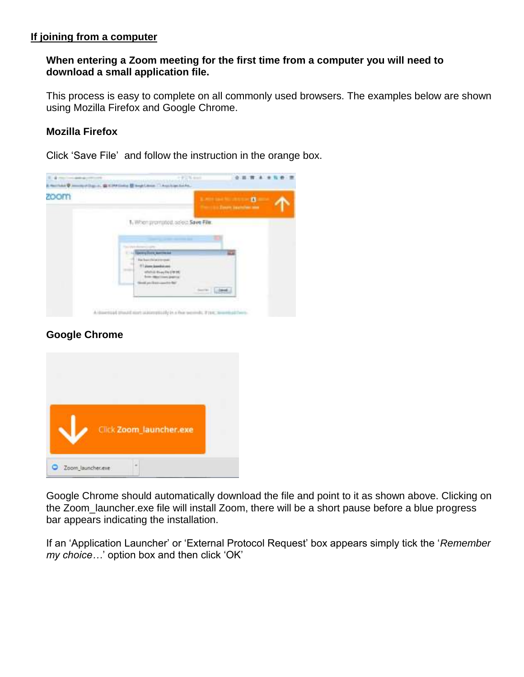# **If joining from a computer**

# **When entering a Zoom meeting for the first time from a computer you will need to download a small application file.**

This process is easy to complete on all commonly used browsers. The examples below are shown using Mozilla Firefox and Google Chrome.

# **Mozilla Firefox**

Click 'Save File' and follow the instruction in the orange box.



# **Google Chrome**



Google Chrome should automatically download the file and point to it as shown above. Clicking on the Zoom\_launcher.exe file will install Zoom, there will be a short pause before a blue progress bar appears indicating the installation.

If an 'Application Launcher' or 'External Protocol Request' box appears simply tick the '*Remember my choice…*' option box and then click 'OK'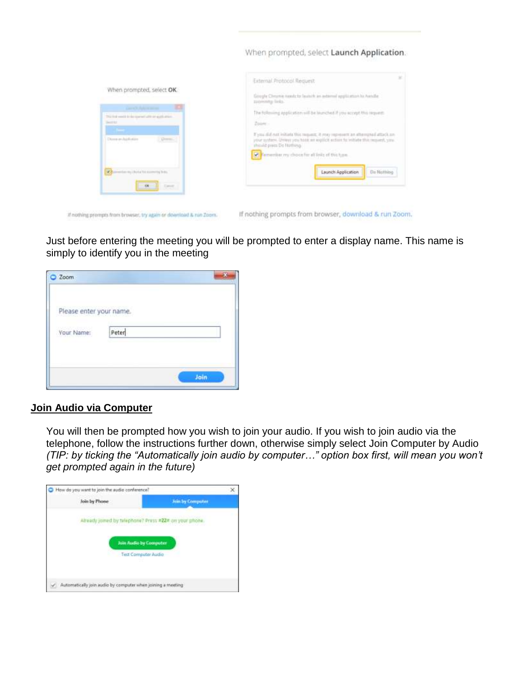#### When prompted, select Launch Application.



If nothing prompts from browser, try again or download & run Zoom.

If nothing prompts from browser, download & run Zoom.

Just before entering the meeting you will be prompted to enter a display name. This name is simply to identify you in the meeting

| Zoom                    |       |      |
|-------------------------|-------|------|
| Please enter your name. |       |      |
| Vour Name:              | Peter |      |
|                         |       | Join |

#### **Join Audio via Computer**

You will then be prompted how you wish to join your audio. If you wish to join audio via the telephone, follow the instructions further down, otherwise simply select Join Computer by Audio *(TIP: by ticking the "Automatically join audio by computer…" option box first, will mean you won't get prompted again in the future)*